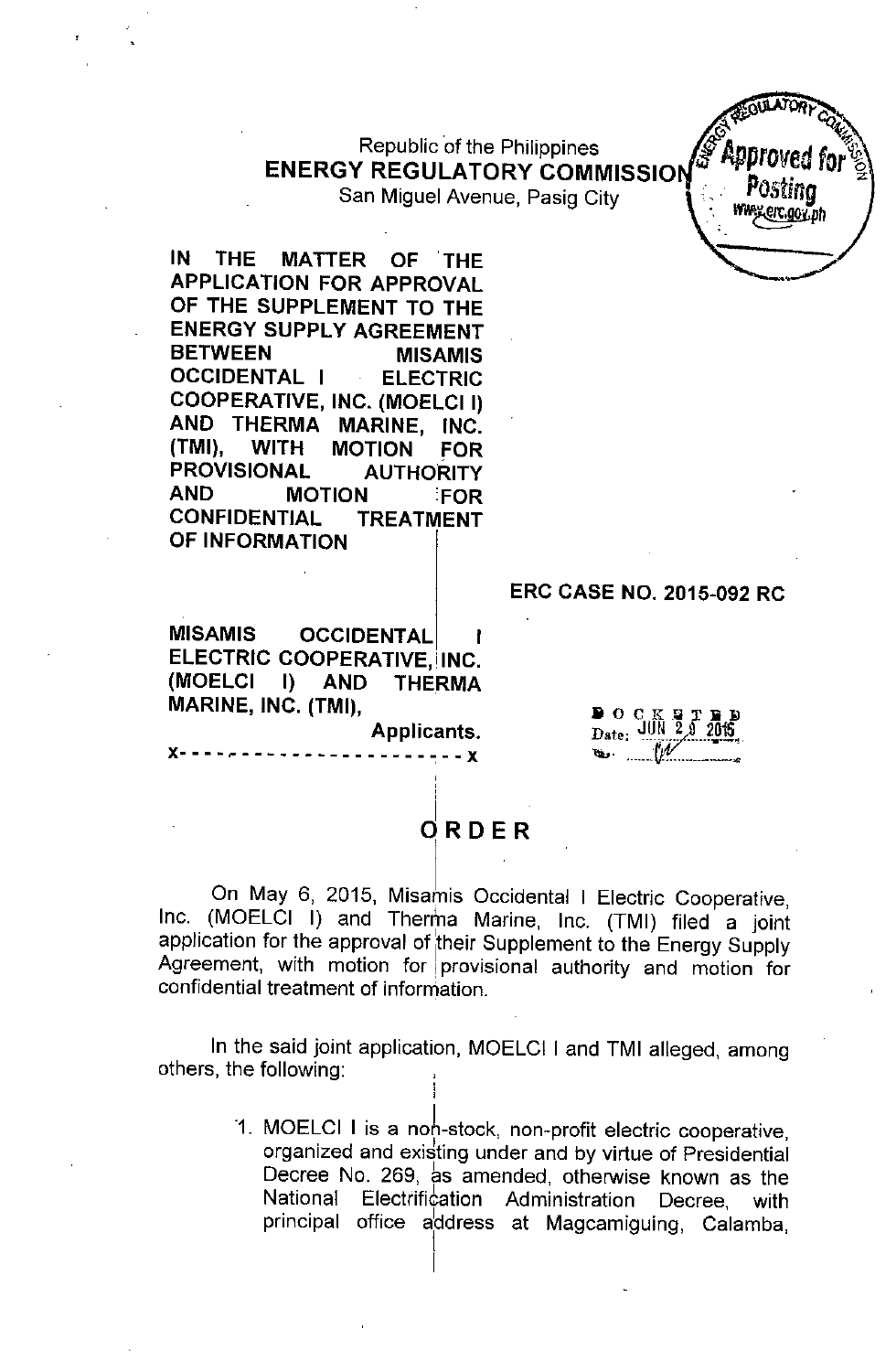## Republic of the Philippines ENERGY REGULATORY COMMISSIO

San Miguel Avenue, Pasig City

IN THE MATTER OF THE APPLICATION FOR APPROVAL OF THE SUPPLEMENT TO THE ENERGY SUPPLY AGREEMENT BETWEEN MISAMIS OCCIDENTAL I ELECTRIC COOPERATIVE, INC. (MOELCII) AND THERMA MARINE, INC.<br>(TMI). WITH MOTION FOR WITH MOTION FOR PROVISIONAL AUTHORITY AND MOTION FOR CONFIDENTIAL TREATMENT OF INFORMATION

MISAMIS OCCIDENTAL ELECTRIC COOPERATIVE, INC. (MOELCI I) AND THERMA MARINE, INC. (TMI),

 $x^2 - 2x - 3x - 3x - 3x - 3x$ 

Applicants.

, ,

 $\blacksquare$  O C  $\mathbf{D}_{\text{ate}}$ : JUN 29 2015, 1'lt" • ' ,--.\_-" -..-....\_-\_.-.

ERC CASE NO. 2015-092 RC

Postina \erc.goy\_b

## dRDER

On May 6, 2015, Misamis Occidental I Electric Cooperative, Inc. (MOELCI I) and Therma Marine, Inc. (TMI) filed a joint application for the approval of their Supplement to the Energy Supply Agreement, with motion for provisional authority and motion for confidential treatment of information.

In the said joint application, MOELCI I and TMI alleged, among others, the following:

I

'1. MOELCI I is a noh-stock, non-profit electric cooperative, organized and exidting under and by virtue of Presidential Decree No. 269, as amended, otherwise known as the National Electrification Administration Decree, with principal office address at Magcamiguing, Calamba, I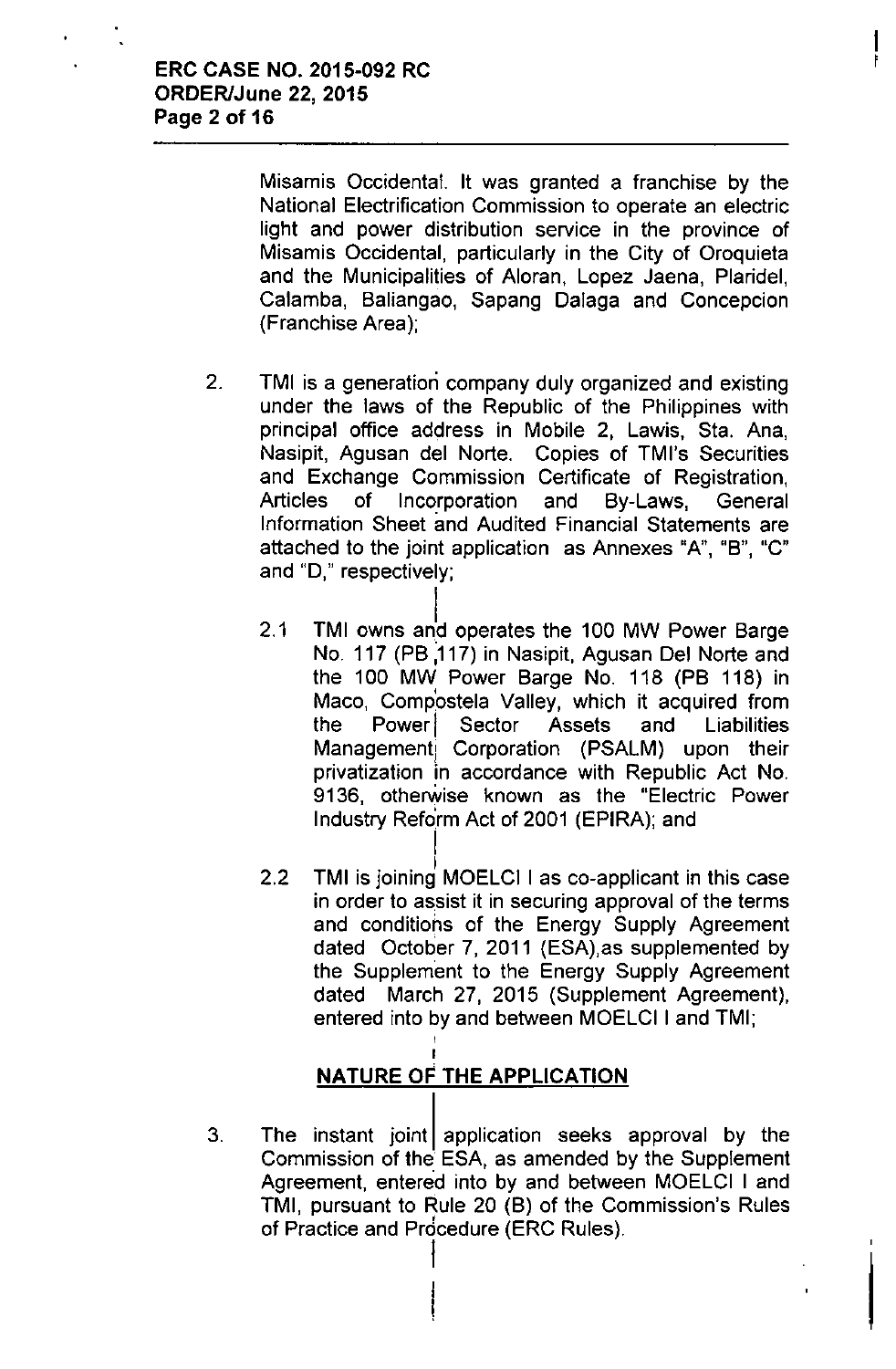Misamis Occidental. It was granted a franchise by the National Electrification Commission to operate an electric light and power distribution service in the province of Misamis Occidental, particularly in the City of Oroquieta and the Municipalities of Aloran, Lopez Jaena, Plaridel, Calamba, Baliangao, Sapang Dalaga and Concepcion (Franchise Area);

- 2. TMI is a generation company duly organized and existing under the laws of the Republic of the Philippines with principal office address in Mobile 2, Lawis, Sta. Ana, Nasipit, Agusan del Norte. Copies of TMI's Securities and Exchange Commission Certificate of Registration, Articles of Incorporation and By-Laws, General Information Sheet and Audited Financial Statements are attached to the joint application as Annexes "A", "B", "C" and "0," respectively;
	- Í. 2.1 TMI owns and operates the 100 MW Power Barge No. 117 (PB ,117) in Nasipit, Agusan Del Norte and the 100 MW Power Barge No. 118 (PB 118) in Maco, Comp'ostela Valley, which it acquired from the Power Sector Assets and Liabilities Management Corporation (PSALM) upon their privatization in accordance with Republic Act No. 9136, otherwise known as the "Electric Power Industry Reform Act of 2001 (EPIRA); and
	- 2.2 TMI is joining MOELCI I as co-applicant in this case in order to assist it in securing approval of the terms and conditions of the Energy Supply Agreement dated October 7, 2011 (ESA),as supplemented by the Supplement to the Energy Supply Agreement dated March 27, 2015 (Supplement Agreement), entered into by and between MOELCI I and TMI;

# NATURE OF THE APPLICATION

I

I

I

3. The instant joint application seeks approval by the Commission of the ESA, as amended by the Supplement Agreement, entered into by and between MOELCI I and TMI, pursuant to Rule 20 (B) of the Commission's Rules , of Practice and Procedure (ERC Rules).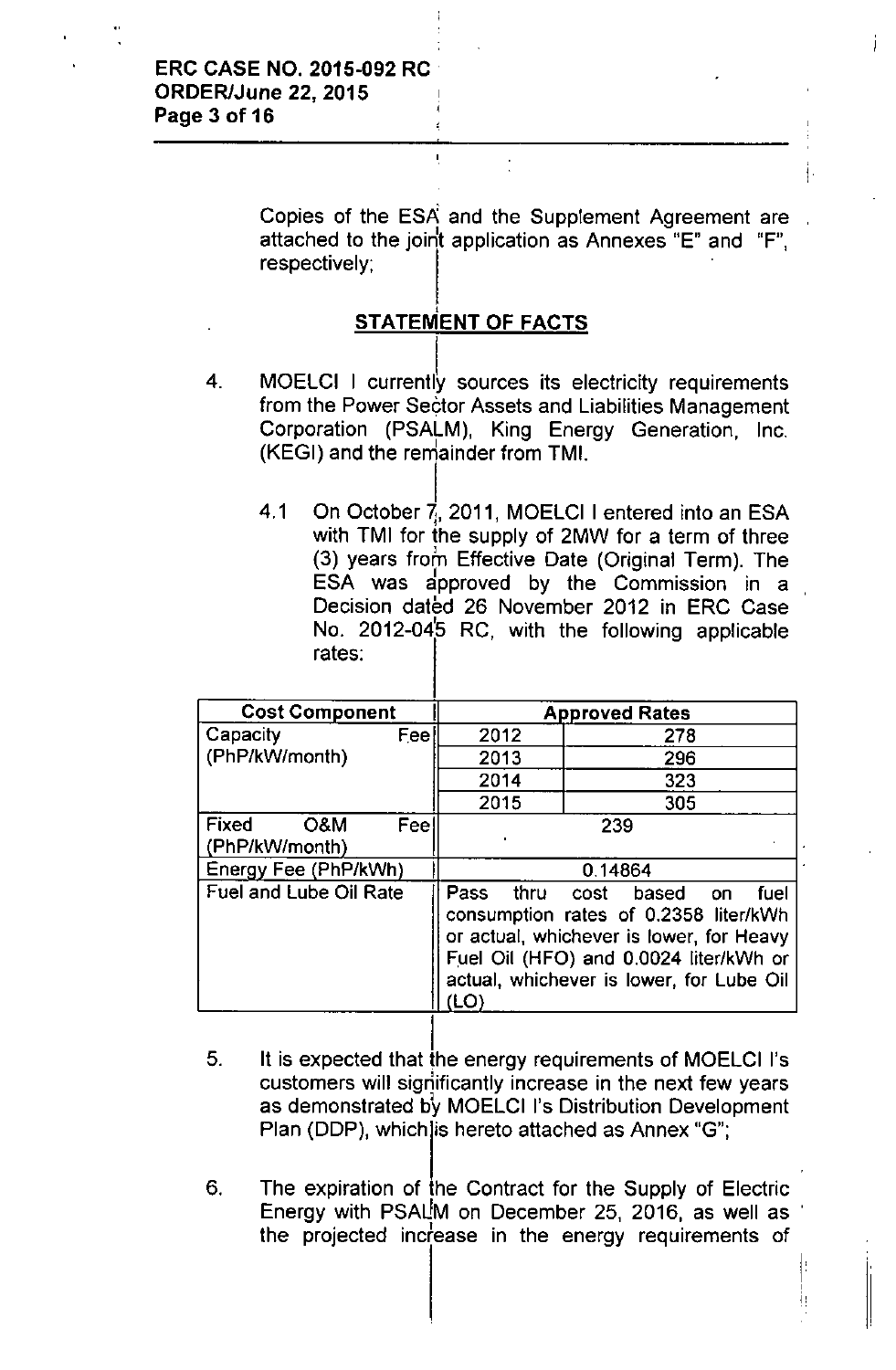Copies of the ESA and the Supplement Agreement are attached to the joint application as Annexes "E" and "F", respectively;

#### $\mathbf{r}$ **STATEMENT** OF FACTS

Ĭ.

- MOELCI I currently sources its electricity requirements from the Power Sector Assets and Liabilities Management Corporation (PSALM), King Energy Generation, Inc. (KEGI) and the remainder from TMI. 4.
	- I 4.1 On October 7, 2011, MOELCI I entered into an ESA with TMI for the supply of 2MW for a term of three (3) years from Effective Date (Original Term). The ESA was approved by the Commission in a Decision dated 26 November 2012 in ERC Case No. 2012-04 $\,$ 5 RC, with the following applicable rates:

| <b>Cost Component</b>          |      | <b>Approved Rates</b>                                                                                                                                                                                            |     |  |  |
|--------------------------------|------|------------------------------------------------------------------------------------------------------------------------------------------------------------------------------------------------------------------|-----|--|--|
| Capacity                       | Feel |                                                                                                                                                                                                                  | 278 |  |  |
| (PhP/kW/month)                 |      | 2013                                                                                                                                                                                                             | 296 |  |  |
|                                |      | 2014                                                                                                                                                                                                             | 323 |  |  |
|                                |      | 2015                                                                                                                                                                                                             | 305 |  |  |
| Fixed<br>O&M<br>(PhP/kW/month) | Feel | 239                                                                                                                                                                                                              |     |  |  |
| Energy Fee (PhP/kWh)           |      | 0.14864                                                                                                                                                                                                          |     |  |  |
| <b>Fuel and Lube Oil Rate</b>  |      | Pass<br>thru cost<br>based on<br>fuel<br>consumption rates of 0.2358 liter/kWh<br>or actual, whichever is lower, for Heavy<br>Fuel Oil (HFO) and 0.0024 liter/kWh or<br>actual, whichever is lower, for Lube Oil |     |  |  |

- 5. l. It is expected that the energy requirements of MOELCI I's customers will significantly increase in the next few years as demonstrated by MOELCI I's Distribution Development Plan (DDP), which is hereto attached as Annex "G";
- 6. The expiration of the Contract for the Supply of Electric Energy with PSALM on December 25, 2016, as well as the projected increase in the energy requirements of

I,  $\ddot{ }$   $\ddot{ }$   $\ddot{ }$   $\ddot{ }$  i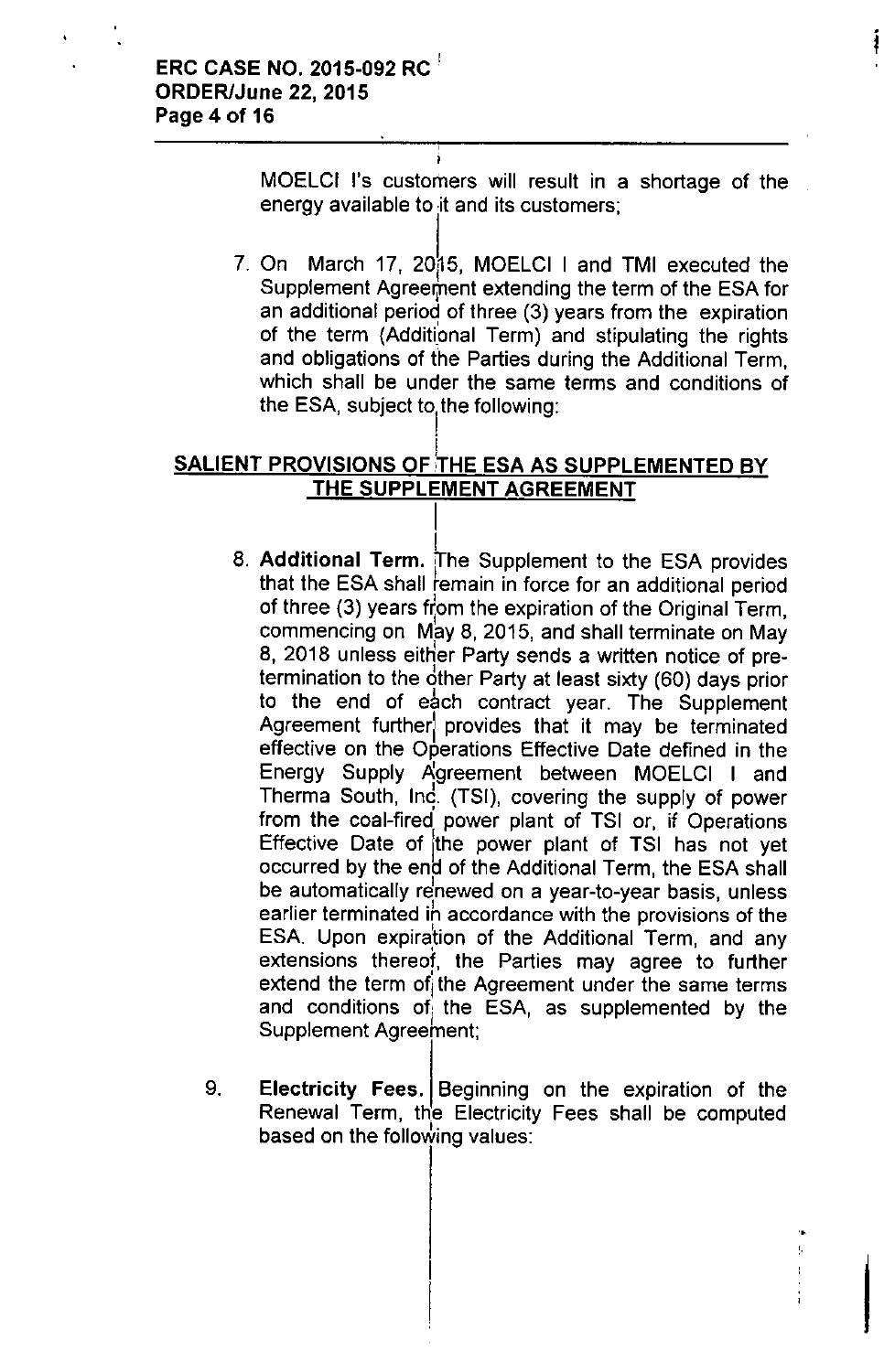MOElCI I's customers will result in a shortage of the energy available to it and its customers;

l, 7. On March 17, 2015, MOELCI I and TMI executed the Supplement Agreement extending the term of the ESA for an additional period of three (3) years from the expiration of the term (Additional Term) and stipulating the rights and obligations of the Parties during the Additional Term, which shall be under the same terms and conditions of the ESA, subject to the following<br>|

#### i SALIENT PROVISIONS OF THE ESA AS SUPPLEMENTED BY THE SUPPLEMENT AGREEMENT

I

- I 8. **Additional Term.** [The Supplement to the ESA provides that the ESA shall remain in force for an additional period of three (3) years from the expiration of the Original Term, commencing on May 8, 2015, and shall terminate on May 8, 2018 unless either Party sends a written notice of pretermination to the bther Party at least sixty (60) days prior I to the end of each contract year. The Supplemen Agreement furtherl provides that it may be terminated effective on the Operations Effective Date defined in the Energy Supply Agreement between MOELCI I and Therma South, Ind. (TSI), covering the supply of power from the coal-fired power plant of TSI or, if Operations Effective Date of the power plant of TSI has not yet occurred by the end of the Additional Term, the ESA shall be automatically renewed on a year-to-year basis, unless earlier terminated ih accordance with the provisions of the ESA. Upon expiration of the Additional Term, and any extensions thereof, the Parties may agree to further extend the term of the Agreement under the same terms and conditions of the ESA, as supplemented by the Supplement Agreement;
- 9. Electricity Fees. Beginning on the expiration of the Renewal Term, the Electricity Fees shall be computed based on the following values:

•

 $\bar{1}$ 

I

j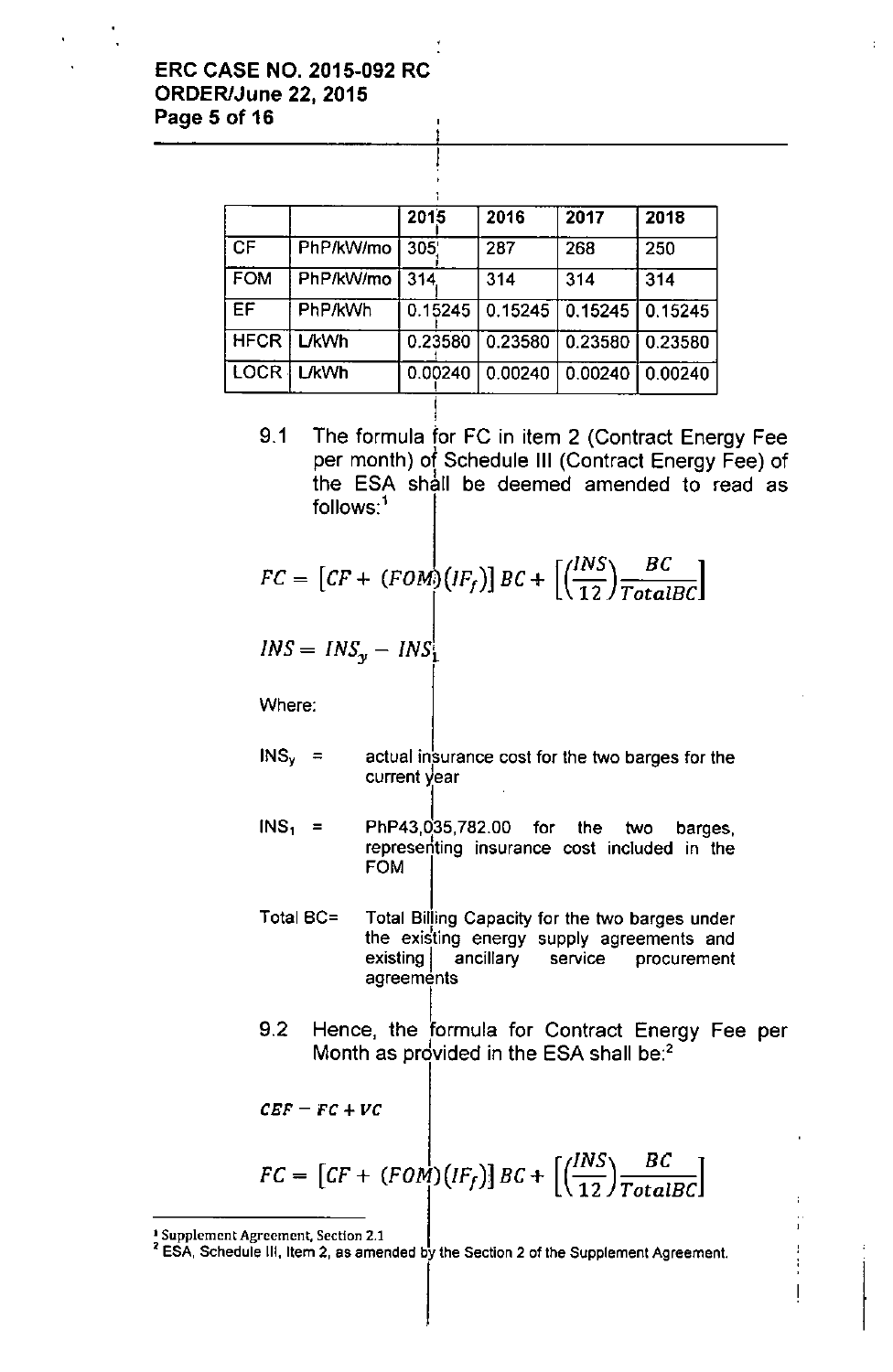#### ERC CASE NO. 2015-092 RC ORDER/June 22, 2015 Page 5 of 16

|             |              | 2015    | 2016    | 2017    | 2018    |
|-------------|--------------|---------|---------|---------|---------|
| l CF        | PhP/kW/mo    | 305     | 287     | 268     | 250     |
| <b>FOM</b>  | PhP/kW/mo    | 314     | 314     | 314     | 314     |
| EF          | PhP/kWh      | 0.15245 | 0.15245 | 0.15245 | 0.15245 |
| HFCR I      | <b>L/kWh</b> | 0.23580 | 0.23580 | 0.23580 | 0.23580 |
| <b>LOCR</b> | <b>L/kWh</b> | 0.00240 | 0.00240 | 0.00240 | 0.00240 |

9.1 The formula for FC in item 2 (Contract Energy Fee per month) of Schedule III (Contract Energy Fee) of the ESA shall be deemed amended to read as  $follows$ :<sup>1</sup>

$$
FC = \left[ CF + (FOM)(IF_f) \right] BC + \left[ \left( \frac{INS}{12} \right) \frac{BC}{TotalBC} \right]
$$

$$
INS = INS_y - INS_1^{\dagger}
$$

Where:

- $INS<sub>y</sub>$  = actual insurance cost for the two barges for the current year
- $INS<sub>1</sub>$  = ļ, PhP43,035,782.00 for the two barges, represeriting insurance cost included in the FOM
- Total BC= Total Billing Capacity for the two barges under the existing energy supply agreements and existing ancillary service procurement agreements
- l<br>F 9.2 Hence, the formula for Contract Energy Fee per Month as provided in the ESA shall be: $<sup>2</sup>$ </sup>

ŧ  $\overline{\phantom{a}}$ 

$$
\mathit{CEF} = \mathit{FC} + \mathit{VC}
$$

$$
FC = \left[ CF + (FOM)(IF_f) \right] BC + \left[ \left( \frac{INS}{12} \right) \frac{BC}{TotalBC} \right]
$$

ISupplement Agreement, Section 2.1

<sup>&</sup>lt;sup>2</sup> ESA, Schedule III, Item 2, as amended by the Section 2 of the Supplement Agreement.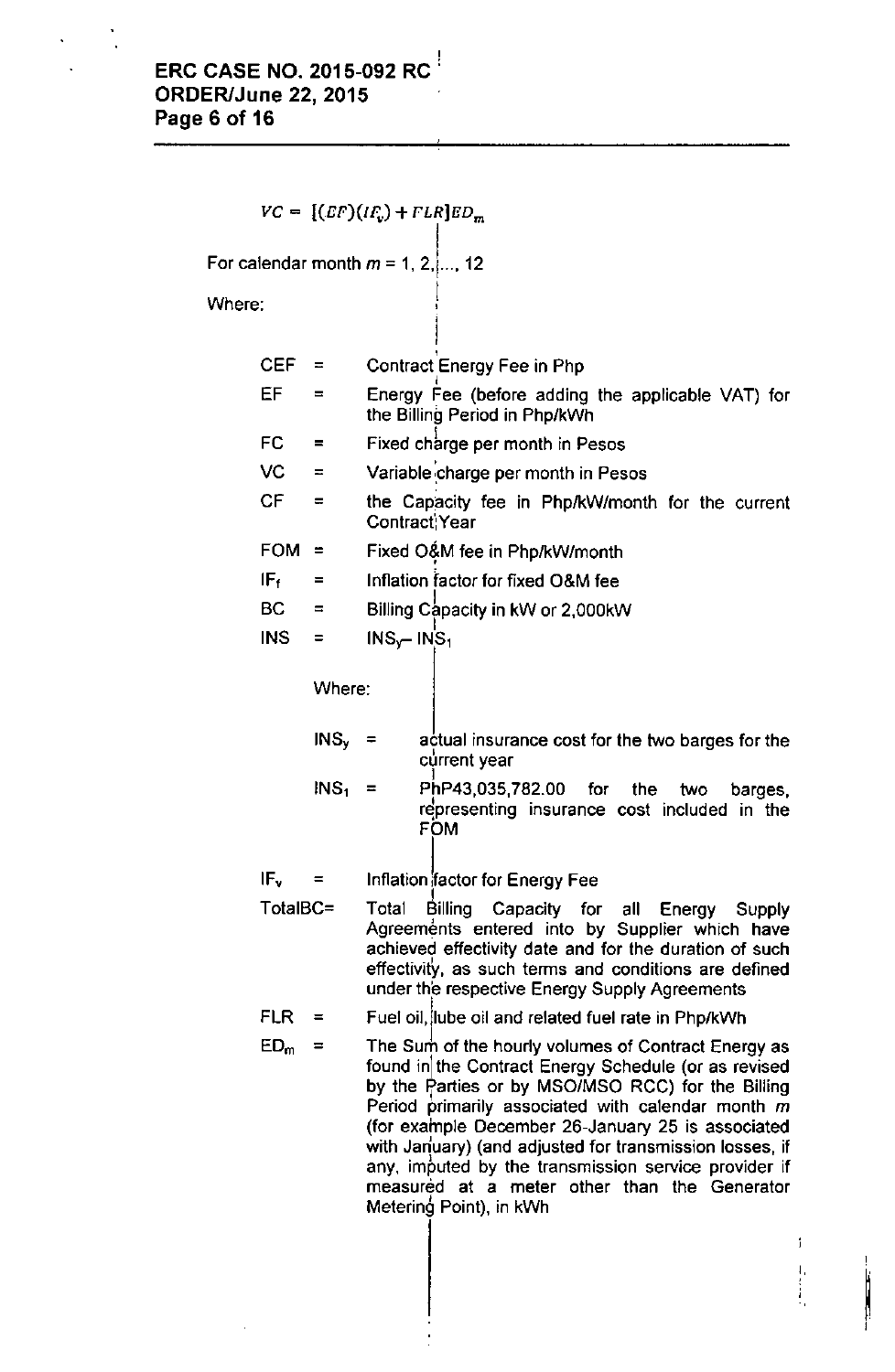,

 $VC = [(EF)(IF_v) + FLR]ED_m$ For calendar month  $m$  = 1, 2, ..., 12 Where: I r<br>1 CEF = Contract Energy Fee in Php I **EF** = Energy Fee (before adding the applicable VAT) for the Billing Period in PhplkWh FC = Fixed charge per month in Pesos .<br>י  $VC = Variable charge per month in Pesos$  $CF =$  the Capacity fee in Php/kW/month for the current **Contract':Year** FOM  $=$  Fixed O&M fee in Php/kW/month •  $IF<sub>f</sub>$  = Inflation factor for fixed O&M fee  $BC =$  Billing Capacity in kW or 2,000kW I  $INS = INS_{y} - INS$ Where:  $INS<sub>1</sub>$  =  $INS<sub>v</sub>$  $IF<sub>v</sub> =$ TotalBC=  $FLR =$  $ED<sub>m</sub>$  = actual insurance cost for the two barges for the **current year** I PhP43,035,782.00 for the two barges,  $r^2$  representing insurance cost included in the FOM Inflation factor for Energy Fee I Total Biliing Capacity for ali Energy Supply Agreements entered into by Supplier which have achieved effectivity date and for the duration of such **effectivity<sup>I</sup> as such terms and conditions are defined** under the respective Energy Supply Agreements Fuel oil, lube oil and related fuel rate in Php/kWh The Sum of the hourly volumes of Contract Energy as found in the Contract Energy Schedule (or as revised by the Parties or by MSO/MSO RCC) for the Billing Period primarily associated with calendar month  $m$ (for example December 26-January 25 is associated with January) (and adjusted for transmission losses, if **any, imputed by the transmission service provider if** measured at a meter other than the Generator Metering Point), in kWh

!<br>!<br>! I

I,

ŧ

Ĵ.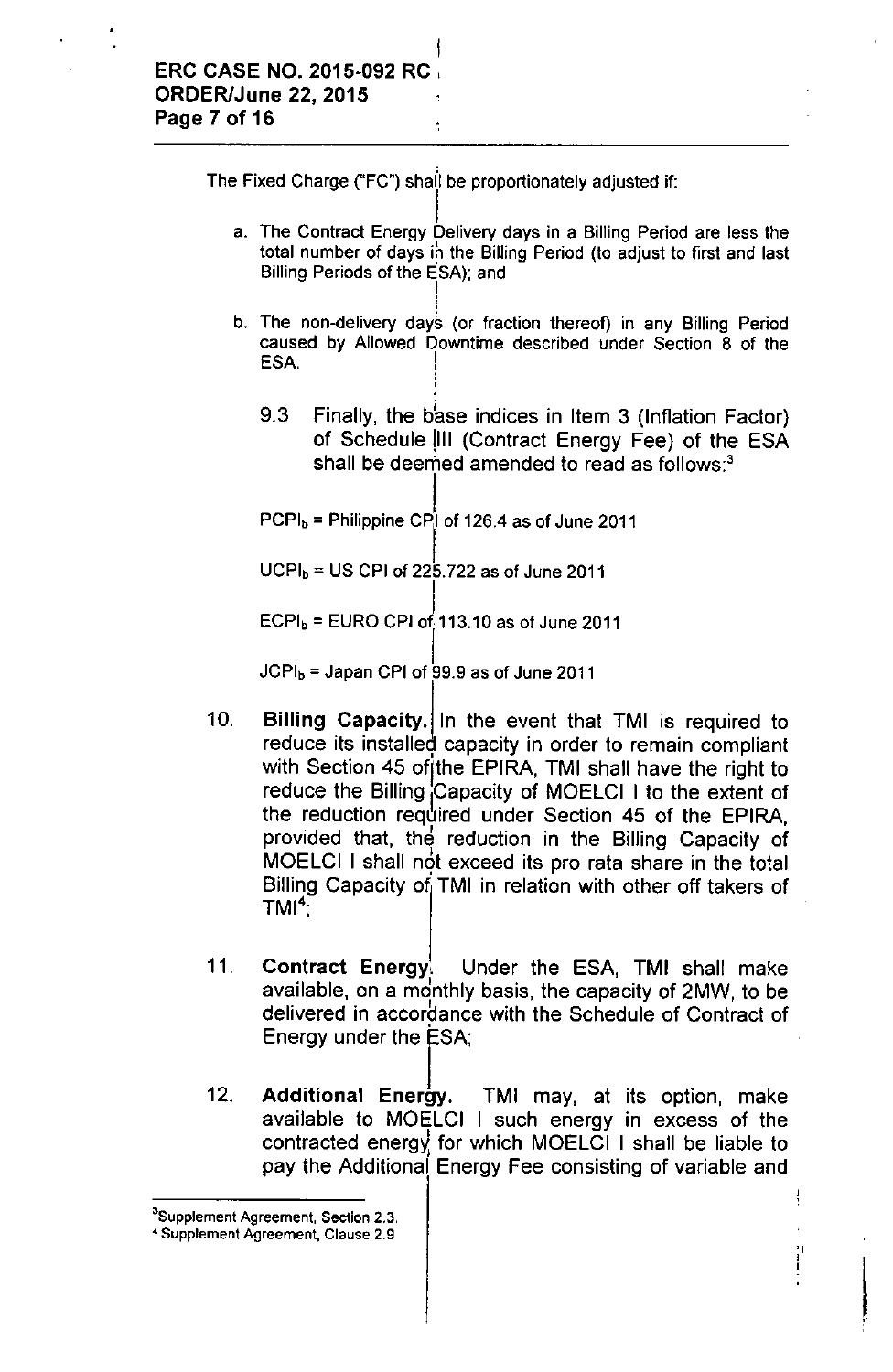The Fixed Charge ("FC") shall be proportionately adjusted if:

- $\overline{a}$ a. The Contract Energy Delivery days in a Billing Period are less the total number of days ih the Billing Period (to adjust to first and last Billing Periods of the ESA); and I
- I b. The non-delivery days (or fraction thereof) in any Billing Period caused by Allowed Downtime described under Section 8 of the ESA.
	- 1 9.3 Finally, the base indices in Item 3 (Inflation Factor) of Schedule III (Contract Energy Fee) of the ESA shall be deemed amended to read as follows; $3$

 $\lfloor$  $\mathsf{PCPI_b}$  = Philippine CPI of 126.4 as of June 2011

 $UCPI<sub>b</sub> = US CPU of 225.722 as of June 2011$ 

 $\mathsf{I}$  $\mathsf{ECPI_b}$  =  $\mathsf{EURO}$  CPI of 113.10 as of June 2011

 $JCPI<sub>b</sub>$  = Japan CPI of 99.9 as of June 2011

- 10. Billing Capacity. In the event that TMI is required to reduce its installed capacity in order to remain complian with Section 45 of the EPIRA, TMI shall have the right to reduce the Billing Capacity of MOELCI I to the extent of the reduction required under Section 45 of the EPIRA, provided that, the reduction in the Billing Capacity of MOELCI I shall not exceed its pro rata share in the total Billing Capacity of TMI in relation with other off takers of  $\mathsf{TMI}^4$  ,
- 11. Contract Energy. Under the ESA, TMI shall make available, on a monthly basis, the capacity of 2MW, to be delivered in accordance with the Schedule of Contract of Energy under the ESA;
- 12. Additional Energy. TMI may, at its option, make available to MOELCI I such energy in excess of the contracted energy for which MOELCI I shall be liable to pay the Additional Energy Fee consisting of variable and

**<sup>3</sup>Supplement Agreement, Section** 2.3.

**<sup>&</sup>lt;4 Supplement Agreement, Clause** 2.9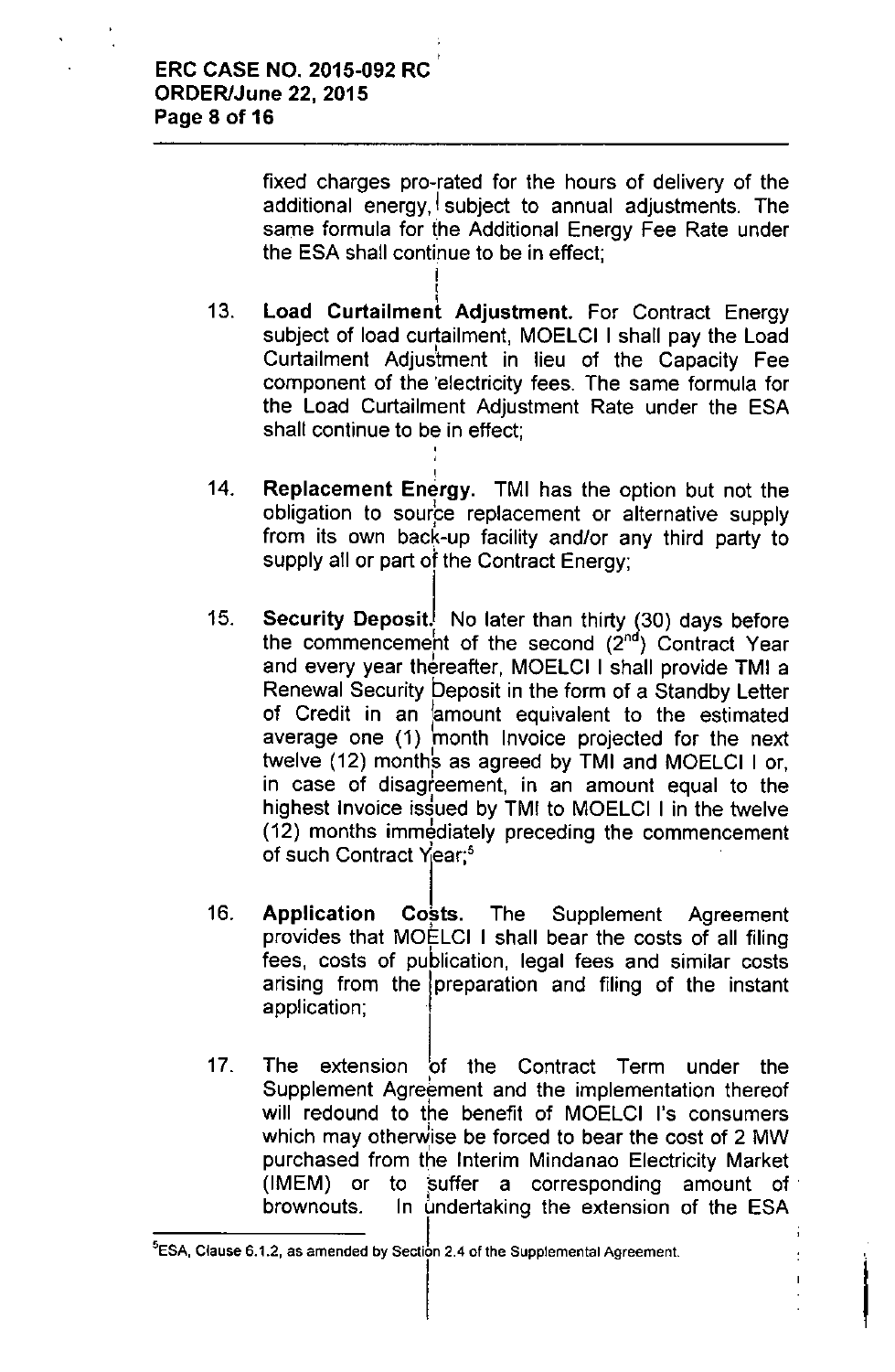fixed charges pro-rated for the hours of delivery of the additional energy, subject to annual adjustments. The same formula for the Additional Energy Fee Rate under the ESA shall continue to be in effect;

13. i load Curtailment Adjustment. For Contract Energy subject of load curtailment, MOELCI I shall pay the Loa Curtailment Adjustment in lieu of the Capacity Fee component of the 'electricity fees. The same formula for the load Curtailment Adjustment Rate under the ESA shall continue to be in effect;

I I

,

- 14. Replacement Energy. TMI has the option but not the obligation to source replacement or alternative supply from its own back-up facility and/or any third party to supply all or part of the Contract Energy;
- 15. Security Deposit. No later than thirty (30) days before the commencement of the second  $(2^{nd})$  Contract Year and every year thereafter, MOELCI I shall provide TMI a Renewal Security Deposit in the form of a Standby letter of Credit in an (amount equivalent to the estimated average one (1) month Invoice projected for the next I twelve (12) months as agreed by TMI and MOELCI I or, in case of disagreement, in an amount equal to the highest Invoice issued by TMI to MOELCI I in the twelve (12) months immediately preceding the commencement of such Contract Year;<sup>5</sup>
- 16. Application Costs. The Supplement Agreement provides that MOELCI I shall bear the costs of all filing fees, costs of publication, legal fees and similar costs arising from the jpreparation and filing of the instant application; .
- 17. The extension of the Contract Term under the Supplement Agreement and the implementation thereo will redound to the benefit of MOELCI I's consumers which may otherwise be forced to bear the cost of 2 MW purchased from the Interim Mindanao Electricity Market (IMEM) or to suffer a corresponding amount of brownouts. In undertaking the extension of the ESA

I

 $\mathbf{I}$ 

**<sup>5</sup>ESA, Clause** 6.1.2, **as amended by Sectit 2.4 of the Supplemental Agreement.**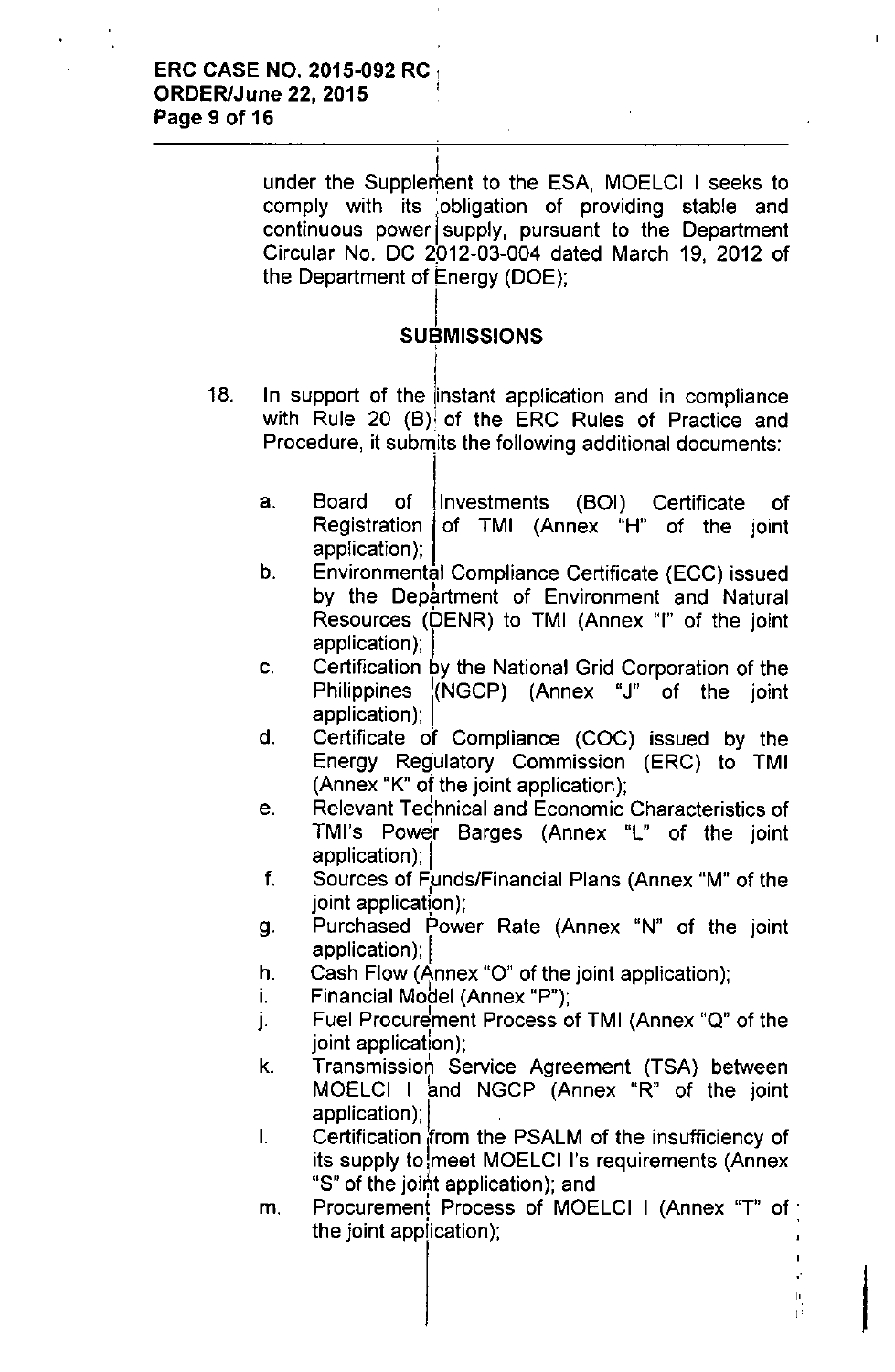under the Supplement to the ESA, MOELCI I seeks to comply with its obligation of providing stable and continuous power supply, pursuant to the Department Circular No. DC 2012-03-004 dated March 19, 2012 of the Department of Energy (DOE);

### l. SUBMISSION:

,

- 18. In support of the instant application and in compliance with Rule 20 (B) of the ERC Rules of Practice and Procedure, it submits the following additional documents:
	- a. Board of Investments (BOI) Certificate of Registration of TMI (Annex "H" of the joint application);
	- b. Environmental Compliance Certificate (ECC) issued by the Department of Environment and Natural Resources (bENR) to TMI (Annex "I" of the joint application);
	- c. Certification by the National Grid Corporation of the Philippines (NGCP) (Annex "J" of the joint application);
	- d. Certificate of Compliance (COC) issued by the Energy Regulatory Commission (ERC) to TMI (Annex "K" of the joint application);
	- e. Relevant Tedhnical and Economic Characteristics of TMI's Power Barges (Annex "L" of the joint application); |
	- f. Sources of Funds/Financial Plans (Annex "M" of the joint application);
	- g. Purchased Power Rate (Annex "N" of the joint application); I
	- h. Cash Flow (Annex "O" of the joint application);
	- i. Financial Model (Annex "P");
	- j. Fuel Procurement Process of TMI (Annex "Q" of the joint application);
	- k. Transmission Service Agreement (TSA) between MOELCI I bnd NGCP (Annex "R" of the joint application);  $\vert$
	- I. Certification from the PSALM of the insufficiency of its supply to meet MOELCI I's requirements (Annex "S" of the joint application); and
	- m. Procurement Process of MOELCI I (Annex "T" of the joint application);

 $\frac{1}{1}$ 

à,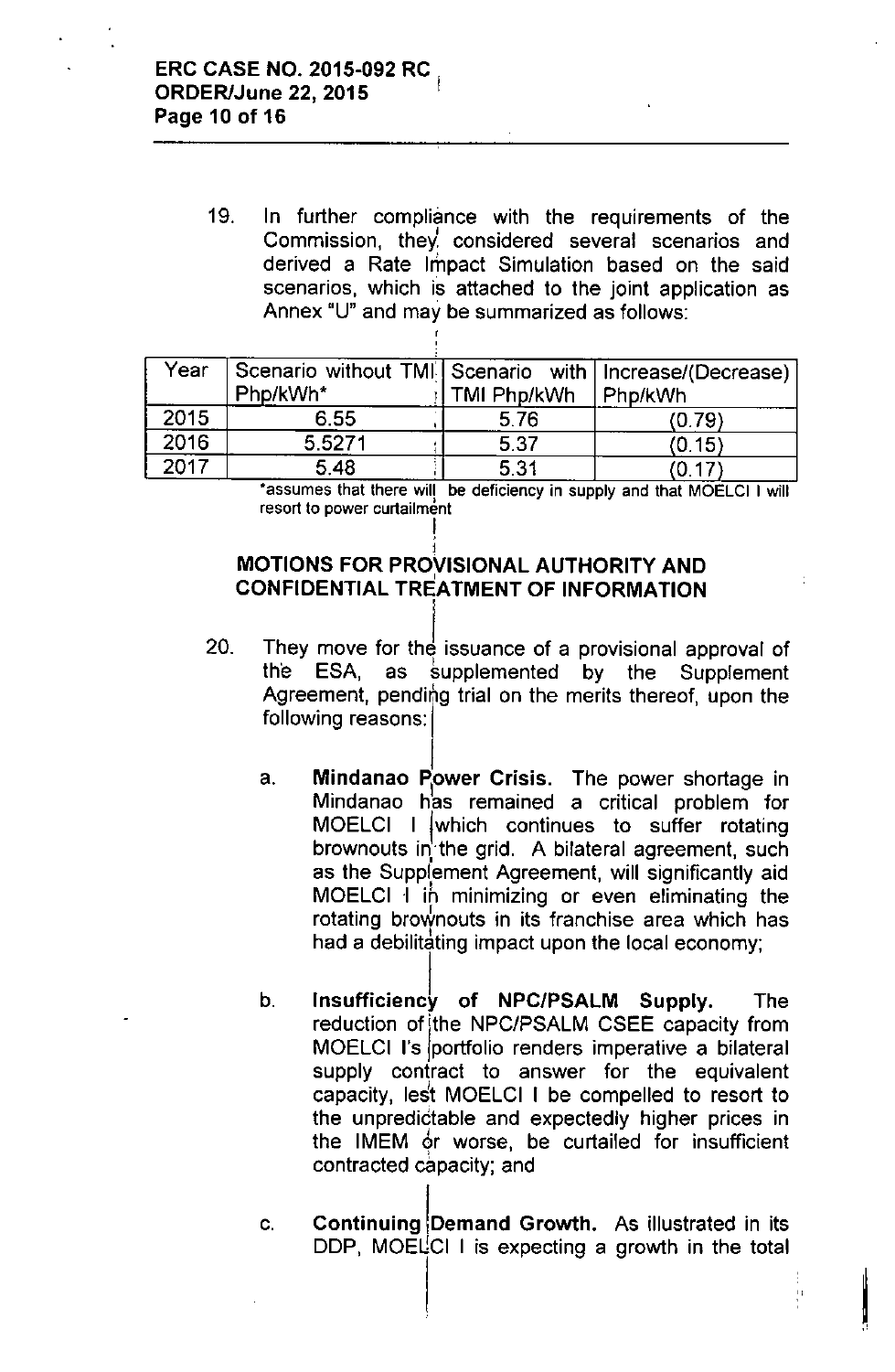19. In further compliance with the requirements of the Commission, they considered several scenarios and derived a Rate Impact Simulation based on the said scenarios, which is attached to the joint application as Annex "U" and may be summarized as follows:

| Year | Scenario without TMI Scenario with   Increase/(Decrease)<br>Php/kWh* | TMI Php/kWh | Php/kWh |
|------|----------------------------------------------------------------------|-------------|---------|
| 2015 | 6.55                                                                 | 5.76        | (0.79)  |
| 2016 | 5.5271                                                               | 5.37        | (0.15)  |
| 2017 | 5.48                                                                 | 5.31        | (0.17)  |

\*assumes that there will be deficiency in supply and that MOELCI I will **resort to power curtailment** I

#### **MOTIONS FOR PROVISIONAL AUTHORITY AND** CONFIDENTIAL TREATMENT OF INFORMATION I

• j

- 20. They move for the issuance of a provisional approval of the ESA, as supplemented by the Supplement Agreement, pending trial on the merits thereof, upon the following reasons:
	- a. Mindanao Power Crisis. The power shortage in Mindanao has remained a critical problem for MOELCI I jwhich continues to suffer rotating brownouts in the grid. A bilateral agreement, such as the Supplٖement Agreement, will significantly aid MOELCI I in minimizing or even eliminating the rotating broWnouts in its franchise area which has had a debilitating impact upon the local economy;
	- b. Insufficiency of NPC/PSALM Supply. The reduction of ithe NPC/PSALM CSEE capacity from MOELCI I's portfolio renders imperative a bilateral supply contract to answer for the equivalent capacity, leSt MOELCI I be compelled to resort to the unpredictable and expectedly higher prices in the IMEM or worse, be curtailed for insufficient contracted capacity; and
	- c. Continuing Demand Growth. As illustrated in its DDP, MOELCI I is expecting a growth in the total

"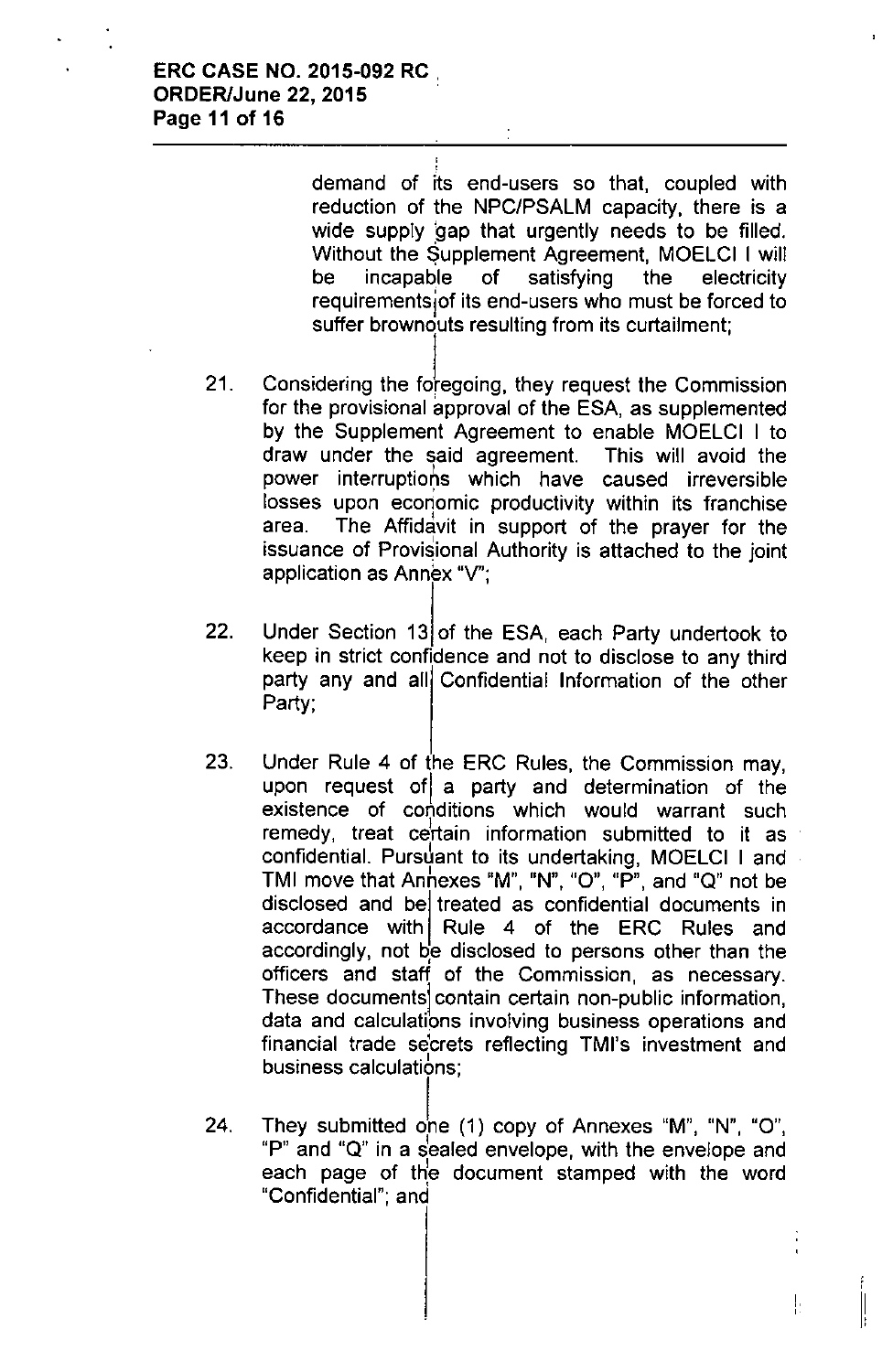demand of its end-users so that, coupled with reduction of the NPC/PSALM capacity, there is a wide supply gap that urgently needs to be filled. Without the \$upplement Agreement, MOELCI I will be incapable of satisfying the electricity requirementsiof its end-users who must be forced to suffer brownouts resulting from its curtailment;

- 21. Considering the foregoing, they request the Commission for the provisional approval of the ESA, as supplemented by the Supplement Agreement to enable MOELCI I to draw under the said agreement. This will avoid the power interruptions which have caused irreversible losses upon economic productivity within its franchise area. The Affidavit in support of the prayer for the issuance of Provisional Authority is attached to the joint application as Annex *"V';*
- 22. Under Section 13 of the ESA, each Party undertook to keep in strict confidence and not to disclose to any third party any and all Confidential Information of the other Party;
- 23. Under Rule 4 of the ERC Rules, the Commission may, upon request ofl a party and determination of the existence of conditions which would warrant such remedy, treat certain information submitted to it as confidential. Pursuant to its undertaking, MOELCI I and **TMI** move that Annexes "M", "N", "O", "P", and "Q" not be disclosed and be treated as confidential documents in accordance with Rule 4 of the ERC Rules and accordingly, not be disclosed to persons other than the officers and staff of the Commission, as necessary. These documentsl contain certain non-public information, data and calculations involving business operations and financial trade se'crets reflecting TMI's investment and business calculations;
- 24. They submitted one  $(1)$  copy of Annexes "M", "N", "O", "P" and "Q" in a sealed envelope, with the envelope and each page of the document stamped with the word "Confidential"; and

,

! Ii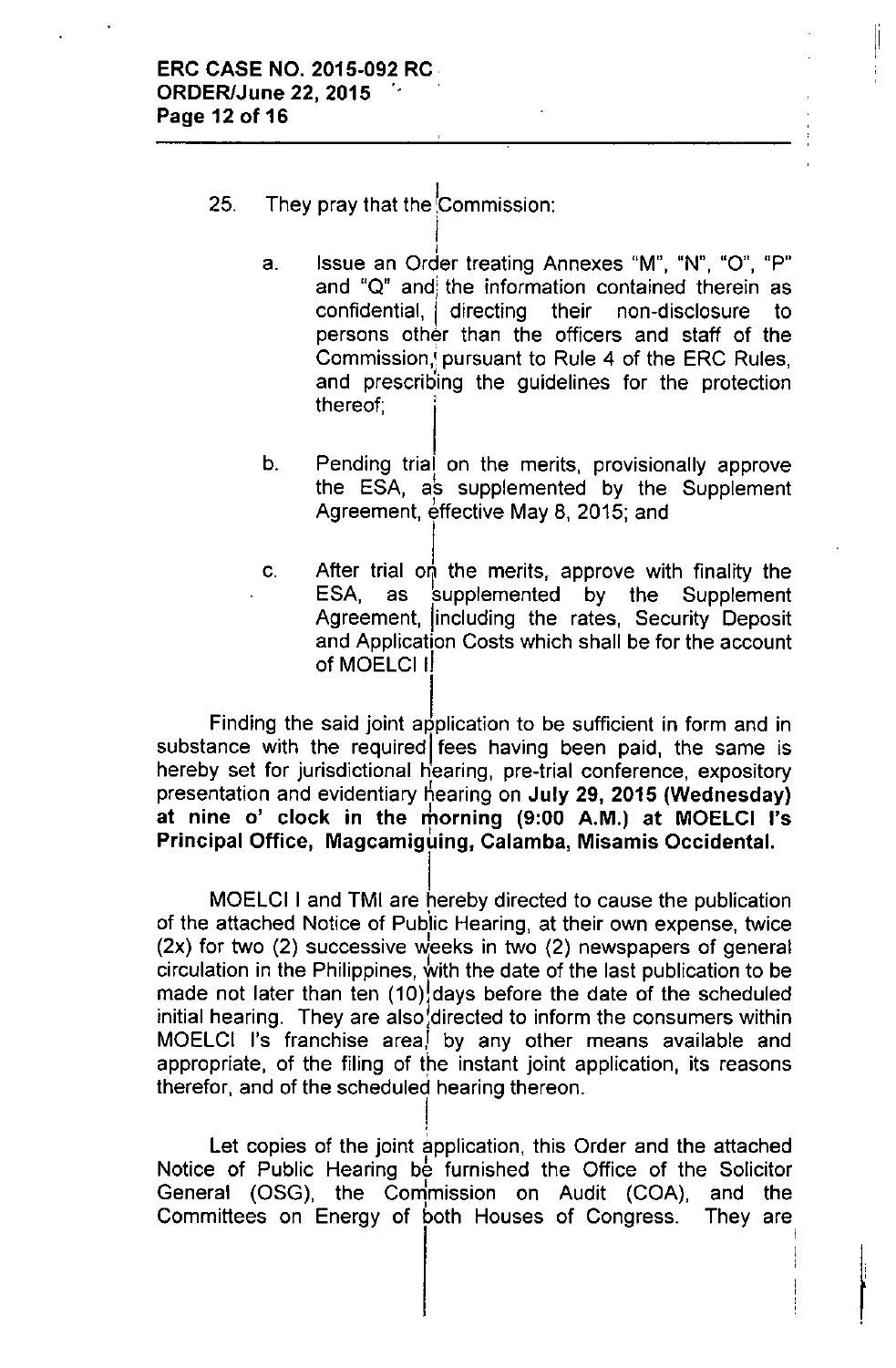### 25. They pray that the Commission:

I

- I **a. Issue an Order treating Annexes liM", uN", 110", uP"** and "Q" and the information contained therein as confidential, I directing their non-disclosure to persons other than the officers and staff of the Commission,' pursuant to Rule 4 of the ERC Rules, and prescribing the guidelines for the protection thereof; ,
- b. Pending trial on the merits, provisionally approve the ESA, as supplemented by the Supplement Agreement, effective May 8, 2015; and
- c. After trial on the merits, approve with finality the ESA, as supplemented by the Supplement Agreement, lincluding the rates, Security Deposit and Application Costs which shall be for the account of MOELCI I!

Finding the said joint application to be sufficient in form and in substance with the required fees having been paid, the same is hereby set for jurisdictional hearing, pre-trial conference, expository presentation and evidentiary hearing on July 29, 2015 (Wednesday) at nine o' clock in the morning (9:00 A.M.) at MOELCI I's Principal Office, Magcamiguing, Calamba, Misamis Occidental.

I MOELCI I and TMI are hereby directed to cause the publication of the attached Notice of Pubiic Hearing, at their own expense, twice (2x) for two (2) successive Weeks in two (2) newspapers of general circulation in the Philippines, with the date of the last publication to be made not later than ten (10) days before the date of the scheduled initial hearing. They are also, directed to inform the consumers within MOELCI I's franchise area, by any other means available and appropriate, of the filing of the instant joint application, its reasons therefor, and of the scheduled hearing thereon.

Let copies of the joint application, this Order and the attached Notice of Public Hearing be furnished the Office of the Solicitor General (OSG), the Commission on Audit (COA), and the<br>Committees on Energy of both Houses of Congress. They are Committees on Energy of both Houses of Congress.

> I I I I ,

!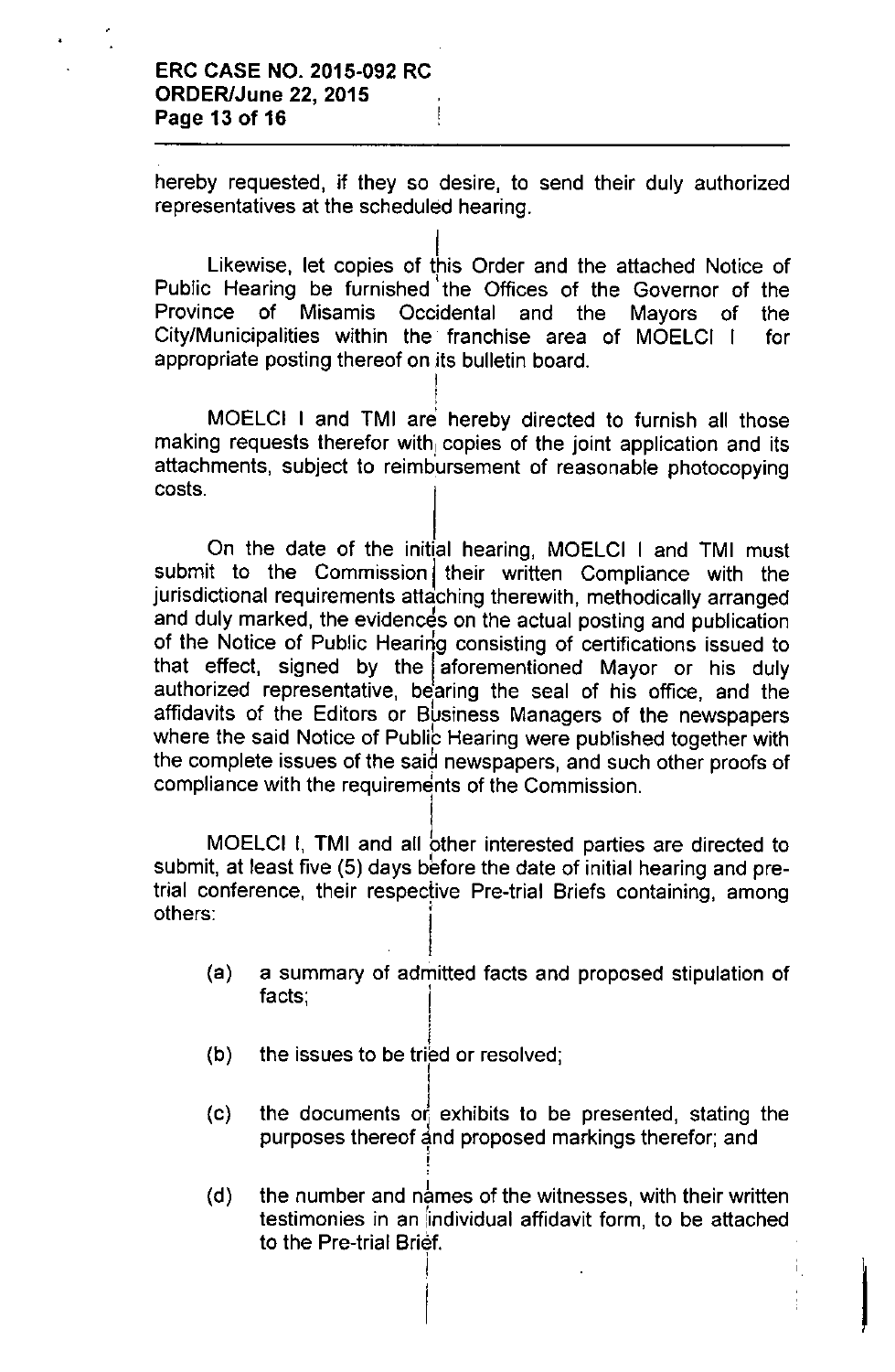#### ERC CASE NO. 2015-092 RC ORDER/June 22, 2015 Page 13 of 16

hereby requested, if they so desire, to send their duly authorized representatives at the scheduled hearing.

I Likewise, let copies of this Order and the attached Notice of Public Hearing be furnished' the Offices of the Governor of the Province of Misamis Occidental and the Mayors of the City/Municipalities within the franchise area of MOElCI I for appropriate posting thereof on its bulletin board. I

MOELCI I and TMI are hereby directed to furnish all those making requests therefor with, copies of the joint application and its attachments, subject to reimbursement of reasonable photocopying costs.

I ,

On the date of the initial hearing, MOElCI I and TMI must submit to the Commission their written Compliance with the jurisdictional requirements attaching therewith, methodically arranged and duly marked, the evidences on the actual posting and publication of the Notice of Public Hearing consisting of certifications issued to that effect, signed by the aforementioned Mayor or his duly authorized representative, bearing the seal of his office, and the affidavits of the Editors or Business Managers of the newspapers where the said Notice of Public Hearing were published together with the complete issues of the said newspapers, and such other proofs of compliance with the requirements of the Commission.

MOELCI I, TMI and all other interested parties are directed to submit, at least five (5) days before the date of initial hearing and pretrial conference, their respective Pre-trial Briefs containing, among others:

- (a) a summary of admitted facts and proposed stipulation of , facts; I
- (b) i the issues to be tried or resolved;

!

i

- (c) the documents of exhibits to be presented, stating the purposes thereof and proposed markings therefor; and
- (d) the number and names of the witnesses, with their written testimonies in an iindividual affidavit form, to be attached to the Pre-trial Brief.

<sup>I</sup> I

İ.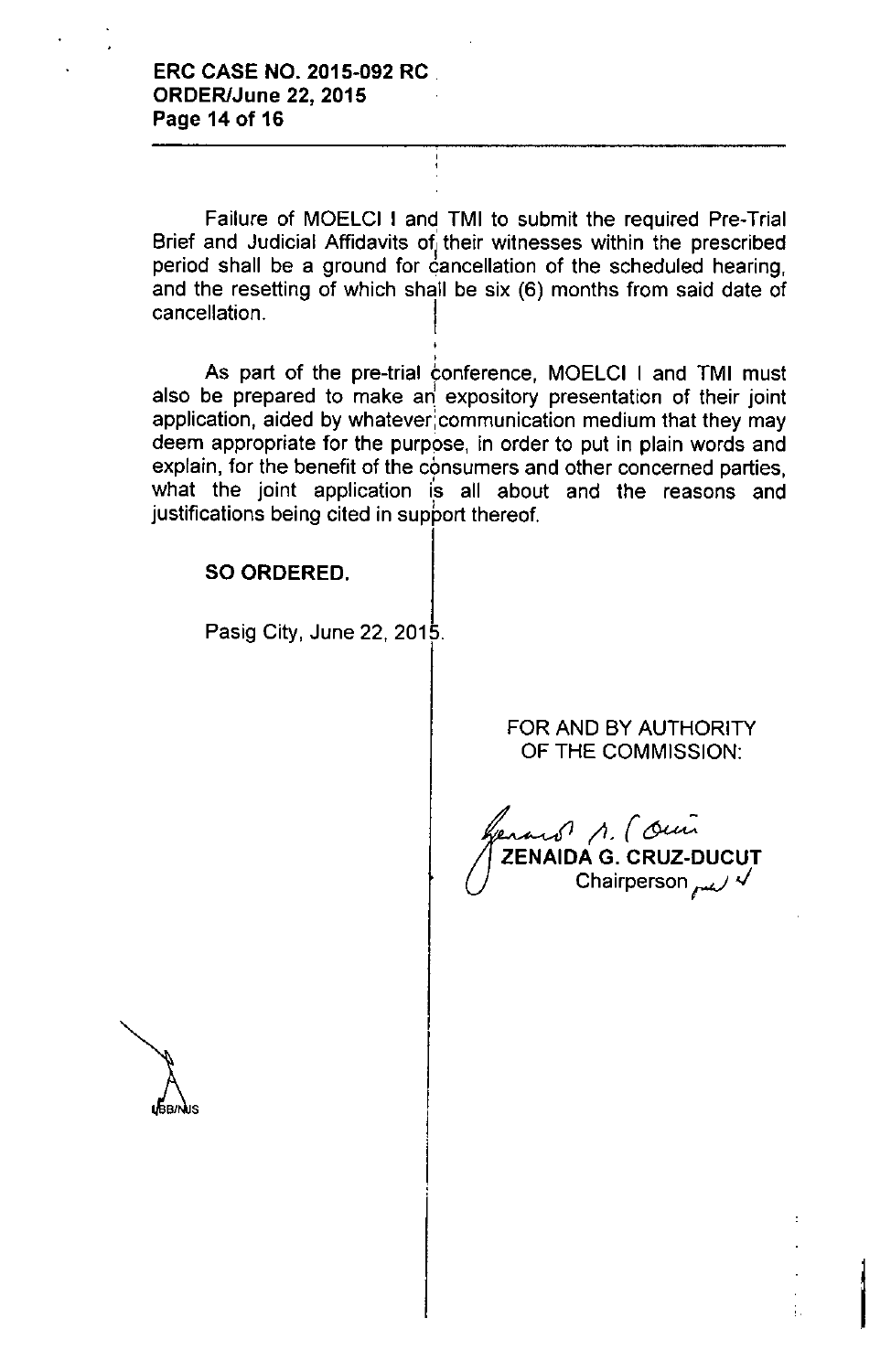Failure of MOELCI I and TMI to submit the required Pre-Trial Brief and Judicial Affidavits of their witnesses within the prescribed<br>posied aboll he a staund for consellation of the school lad begrips period shall be a ground for cancellation of the scheduled hearing, and the resetting of which shall be six (6) months from said date of cancellation.

> .<br>ا ,

As part of the pre-trial conference, MOELCI I and TMI must also be prepared to make an expository presentation of their joint application, aided by whatever communication medium that they may deem appropriate for the purpose, in order to put in plain words and explain, for the benefit of the consumers and other concerned parties what the joint application is all about and the reasons and justifications being cited in support thereof.

#### SO ORDERED.

Pasig City, June 22, 2015.

FOR AND BY AUTHORITY OF THE COMMISSION:

 $_{enaus}$   $\wedge$  (Our ZENAIDA G. CRUZ-DUCUT **Chairperson سمہ**ر Chairperson

 $\parallel$ 

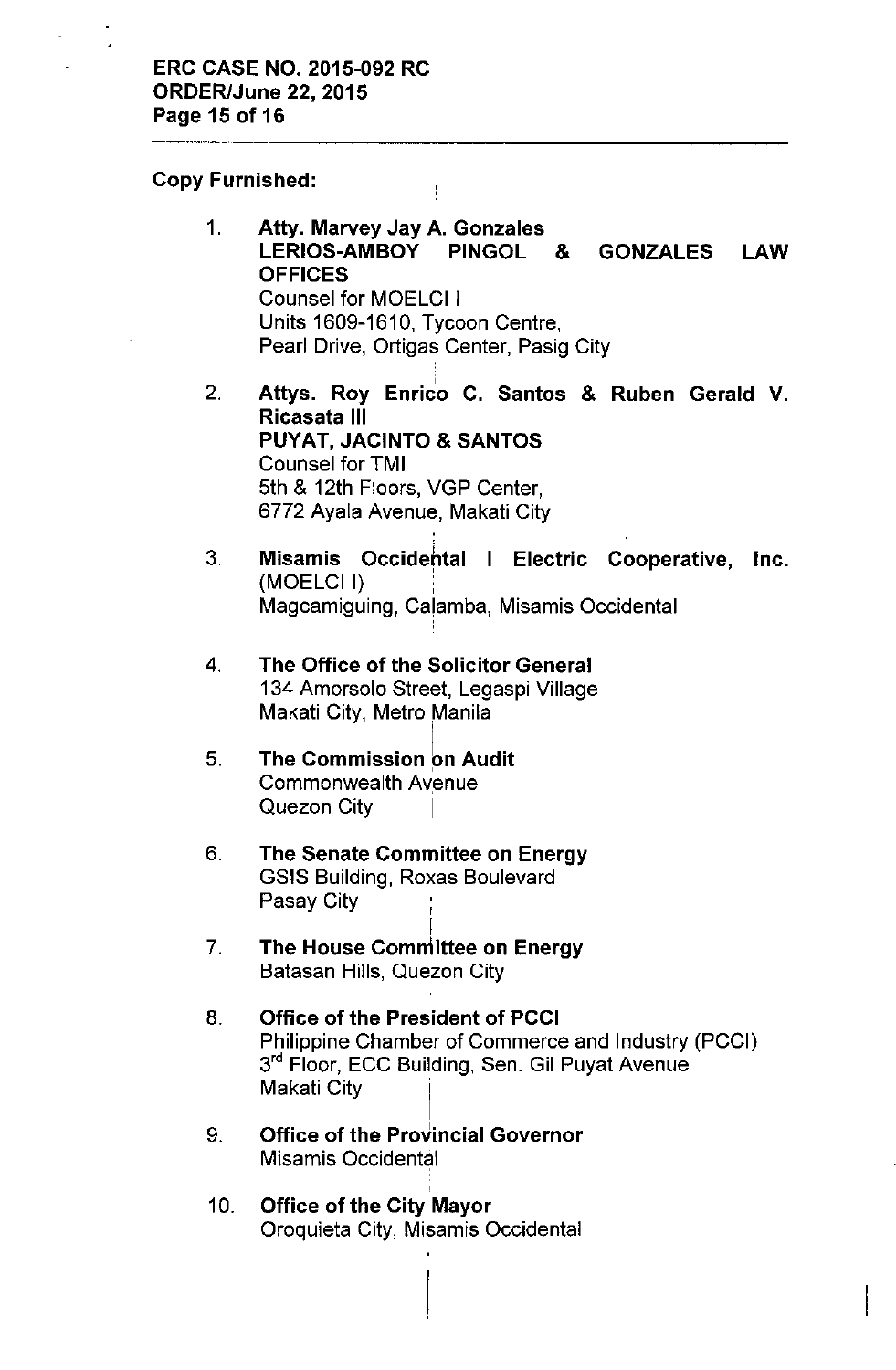Copy Furnished:

- 1. Atty. Marvey Jay A. Gonzales LERIOS-AMBOY PINGOL & GONZALES LAW **OFFICES** Counsel for MOELCI I Units 1609-1610, Tycoon Centre, Pearl Drive, Ortigas Center, Pasig City
- , 2. Attys. Roy Enrico C. Santos & Ruben Gerald V. Ricasata III PUYAT, JACINTO & SANTOS Counsel for TMI 5th & 12th Floors, VGP Center, 6772 Ayala Avenue, Makati City
- 3. Misamis Occidehtal I Electric Cooperative, Inc. (MOELCII) Magcamiguing, Calamba, Misamis Occidental
- 4. The Office of the Solicitor General 134 Amorsolo Street, Legaspi Village Makati City, Metro Manila
- 5. The Commission on Audit Commonwealth Avenue Quezon City
- 6. The Senate Committee on Energy GSIS Building, Roxas Boulevard Pasay City
- 7. I The House Committee on Energy Batasan Hills, Quezon City
- 8. Office of the President of PCCI Philippine Chamber of Commerce and Industry (PCCI) 3<sup>rd</sup> Floor, ECC Building, Sen. Gil Puyat Avenue Makati City
- 9. Office of the ProVincial Governor Misamis Occidental
- 10. Office of the City Mayor Oroquieta City, Misamis Occidental